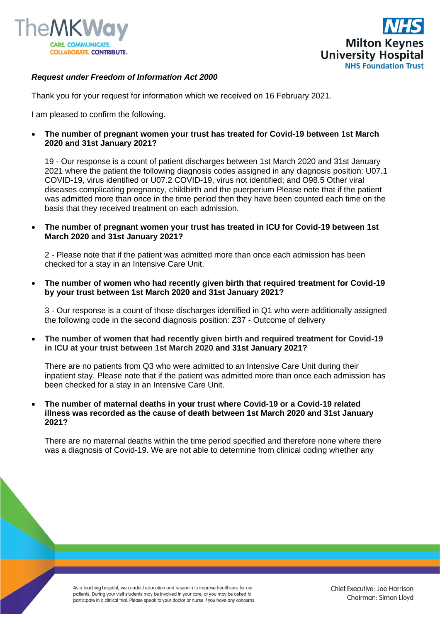



## *Request under Freedom of Information Act 2000*

Thank you for your request for information which we received on 16 February 2021.

I am pleased to confirm the following.

• **The number of pregnant women your trust has treated for Covid-19 between 1st March 2020 and 31st January 2021?**

19 - Our response is a count of patient discharges between 1st March 2020 and 31st January 2021 where the patient the following diagnosis codes assigned in any diagnosis position: U07.1 COVID-19, virus identified or U07.2 COVID-19, virus not identified; and O98.5 Other viral diseases complicating pregnancy, childbirth and the puerperium Please note that if the patient was admitted more than once in the time period then they have been counted each time on the basis that they received treatment on each admission.

• **The number of pregnant women your trust has treated in ICU for Covid-19 between 1st March 2020 and 31st January 2021?**

2 - Please note that if the patient was admitted more than once each admission has been checked for a stay in an Intensive Care Unit.

• **The number of women who had recently given birth that required treatment for Covid-19 by your trust between 1st March 2020 and 31st January 2021?**

3 - Our response is a count of those discharges identified in Q1 who were additionally assigned the following code in the second diagnosis position: Z37 - Outcome of delivery

• **The number of women that had recently given birth and required treatment for Covid-19 in ICU at your trust between 1st March 2020 and 31st January 2021?**

There are no patients from Q3 who were admitted to an Intensive Care Unit during their inpatient stay. Please note that if the patient was admitted more than once each admission has been checked for a stay in an Intensive Care Unit.

• **The number of maternal deaths in your trust where Covid-19 or a Covid-19 related illness was recorded as the cause of death between 1st March 2020 and 31st January 2021?**

There are no maternal deaths within the time period specified and therefore none where there was a diagnosis of Covid-19. We are not able to determine from clinical coding whether any

As a teaching hospital, we conduct education and research to improve healthcare for our patients. During your visit students may be involved in your care, or you may be asked to participate in a clinical trial. Please speak to your doctor or nurse if you have any concerns.